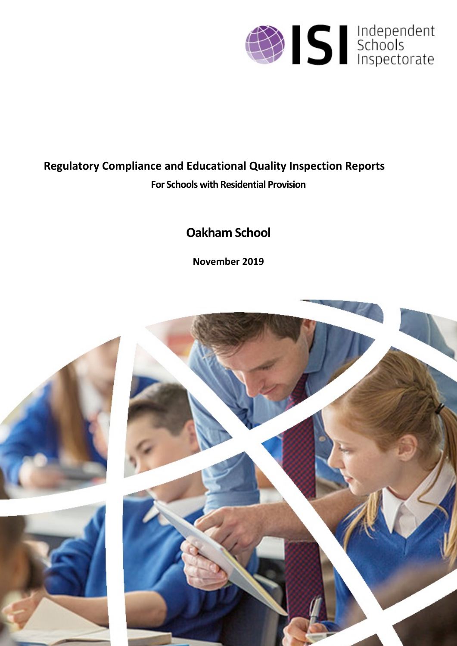

# **Regulatory Compliance and Educational Quality Inspection Reports For Schools with Residential Provision**

# **Oakham School**

**November 2019**

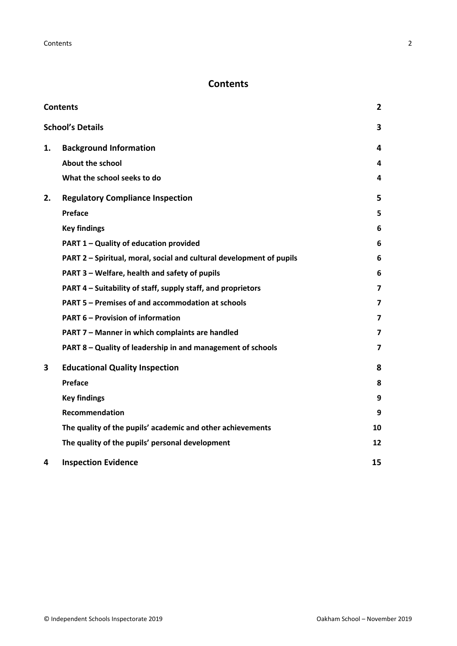# <span id="page-1-0"></span>**Contents**

| <b>Contents</b> |                                                                      |                         |
|-----------------|----------------------------------------------------------------------|-------------------------|
|                 | <b>School's Details</b>                                              | 3                       |
| 1.              | <b>Background Information</b>                                        | 4                       |
|                 | <b>About the school</b>                                              | 4                       |
|                 | What the school seeks to do                                          | 4                       |
| 2.              | <b>Regulatory Compliance Inspection</b>                              | 5                       |
|                 | <b>Preface</b>                                                       | 5                       |
|                 | <b>Key findings</b>                                                  | 6                       |
|                 | PART 1 - Quality of education provided                               | 6                       |
|                 | PART 2 - Spiritual, moral, social and cultural development of pupils | 6                       |
|                 | PART 3 - Welfare, health and safety of pupils                        | 6                       |
|                 | PART 4 – Suitability of staff, supply staff, and proprietors         | $\overline{\mathbf{z}}$ |
|                 | PART 5 - Premises of and accommodation at schools                    | 7                       |
|                 | <b>PART 6 - Provision of information</b>                             | 7                       |
|                 | PART 7 - Manner in which complaints are handled                      | 7                       |
|                 | PART 8 - Quality of leadership in and management of schools          | $\overline{\mathbf{z}}$ |
| 3               | <b>Educational Quality Inspection</b>                                | 8                       |
|                 | <b>Preface</b>                                                       | 8                       |
|                 | <b>Key findings</b>                                                  | 9                       |
|                 | Recommendation                                                       | 9                       |
|                 | The quality of the pupils' academic and other achievements           | 10                      |
|                 | The quality of the pupils' personal development                      | 12                      |
| 4               | <b>Inspection Evidence</b>                                           | 15                      |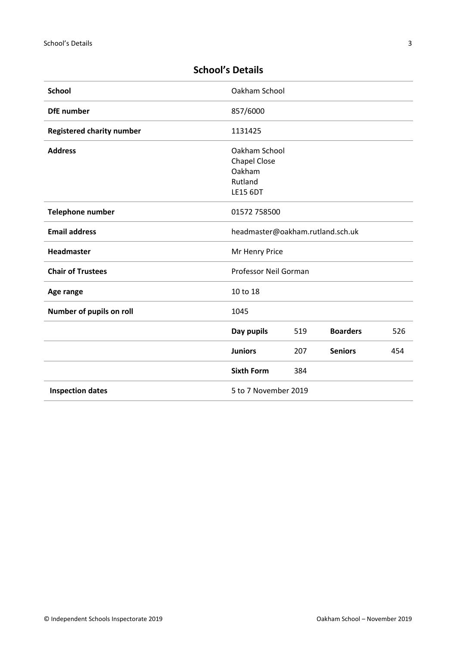| <b>School</b>                    | Oakham School                    |     |                 |     |
|----------------------------------|----------------------------------|-----|-----------------|-----|
| <b>DfE</b> number                | 857/6000                         |     |                 |     |
| <b>Registered charity number</b> | 1131425                          |     |                 |     |
| <b>Address</b>                   | Oakham School                    |     |                 |     |
|                                  | <b>Chapel Close</b>              |     |                 |     |
|                                  | Oakham                           |     |                 |     |
|                                  | Rutland                          |     |                 |     |
|                                  | <b>LE15 6DT</b>                  |     |                 |     |
| <b>Telephone number</b>          | 01572 758500                     |     |                 |     |
| <b>Email address</b>             | headmaster@oakham.rutland.sch.uk |     |                 |     |
| Headmaster                       | Mr Henry Price                   |     |                 |     |
| <b>Chair of Trustees</b>         | Professor Neil Gorman            |     |                 |     |
| Age range                        | 10 to 18                         |     |                 |     |
| Number of pupils on roll         | 1045                             |     |                 |     |
|                                  | Day pupils                       | 519 | <b>Boarders</b> | 526 |
|                                  | <b>Juniors</b>                   | 207 | <b>Seniors</b>  | 454 |
|                                  | <b>Sixth Form</b>                | 384 |                 |     |
| <b>Inspection dates</b>          | 5 to 7 November 2019             |     |                 |     |

# <span id="page-2-0"></span>**School's Details**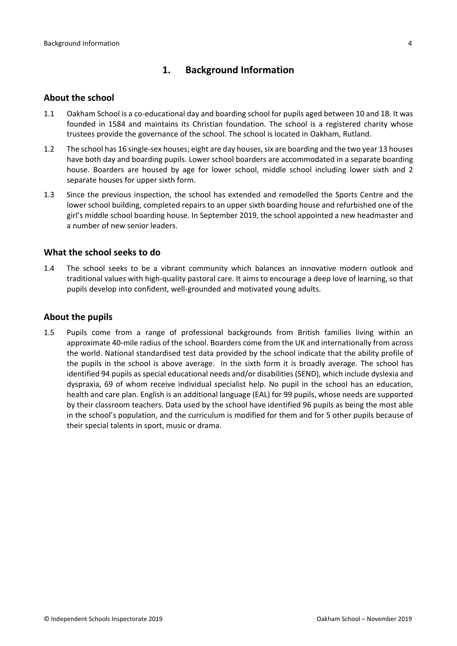# <span id="page-3-0"></span>**1. Background Information**

#### <span id="page-3-1"></span>**About the school**

- 1.1 Oakham School is a co-educational day and boarding school for pupils aged between 10 and 18. It was founded in 1584 and maintains its Christian foundation. The school is a registered charity whose trustees provide the governance of the school. The school is located in Oakham, Rutland.
- 1.2 The school has 16 single-sex houses; eight are day houses, six are boarding and the two year 13 houses have both day and boarding pupils. Lower school boarders are accommodated in a separate boarding house. Boarders are housed by age for lower school, middle school including lower sixth and 2 separate houses for upper sixth form.
- 1.3 Since the previous inspection, the school has extended and remodelled the Sports Centre and the lower school building, completed repairs to an upper sixth boarding house and refurbished one of the girl's middle school boarding house. In September 2019, the school appointed a new headmaster and a number of new senior leaders.

#### <span id="page-3-2"></span>**What the school seeks to do**

1.4 The school seeks to be a vibrant community which balances an innovative modern outlook and traditional values with high-quality pastoral care. It aims to encourage a deep love of learning, so that pupils develop into confident, well-grounded and motivated young adults.

#### **About the pupils**

1.5 Pupils come from a range of professional backgrounds from British families living within an approximate 40-mile radius of the school. Boarders come from the UK and internationally from across the world. National standardised test data provided by the school indicate that the ability profile of the pupils in the school is above average. In the sixth form it is broadly average. The school has identified 94 pupils as special educational needs and/or disabilities (SEND), which include dyslexia and dyspraxia, 69 of whom receive individual specialist help. No pupil in the school has an education, health and care plan. English is an additional language (EAL) for 99 pupils, whose needs are supported by their classroom teachers. Data used by the school have identified 96 pupils as being the most able in the school's population, and the curriculum is modified for them and for 5 other pupils because of their special talents in sport, music or drama.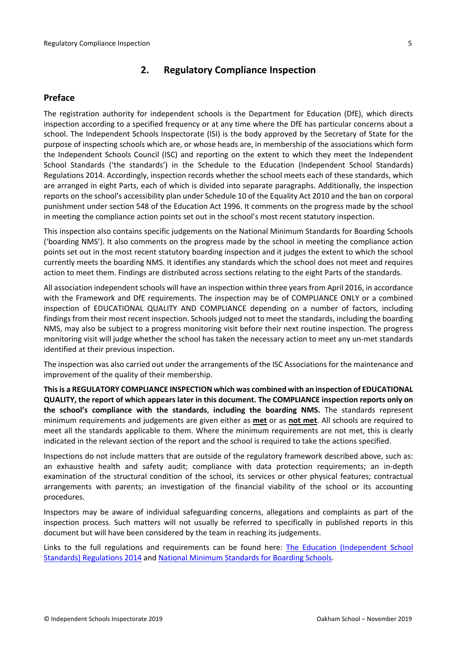# <span id="page-4-0"></span>**2. Regulatory Compliance Inspection**

#### <span id="page-4-1"></span>**Preface**

The registration authority for independent schools is the Department for Education (DfE), which directs inspection according to a specified frequency or at any time where the DfE has particular concerns about a school. The Independent Schools Inspectorate (ISI) is the body approved by the Secretary of State for the purpose of inspecting schools which are, or whose heads are, in membership of the associations which form the Independent Schools Council (ISC) and reporting on the extent to which they meet the Independent School Standards ('the standards') in the Schedule to the Education (Independent School Standards) Regulations 2014. Accordingly, inspection records whether the school meets each of these standards, which are arranged in eight Parts, each of which is divided into separate paragraphs. Additionally, the inspection reports on the school's accessibility plan under Schedule 10 of the Equality Act 2010 and the ban on corporal punishment under section 548 of the Education Act 1996. It comments on the progress made by the school in meeting the compliance action points set out in the school's most recent statutory inspection.

This inspection also contains specific judgements on the National Minimum Standards for Boarding Schools ('boarding NMS'). It also comments on the progress made by the school in meeting the compliance action points set out in the most recent statutory boarding inspection and it judges the extent to which the school currently meets the boarding NMS. It identifies any standards which the school does not meet and requires action to meet them. Findings are distributed across sections relating to the eight Parts of the standards.

All association independent schools will have an inspection within three yearsfrom April 2016, in accordance with the Framework and DfE requirements. The inspection may be of COMPLIANCE ONLY or a combined inspection of EDUCATIONAL QUALITY AND COMPLIANCE depending on a number of factors, including findings from their most recent inspection. Schools judged not to meet the standards, including the boarding NMS, may also be subject to a progress monitoring visit before their next routine inspection. The progress monitoring visit will judge whether the school has taken the necessary action to meet any un-met standards identified at their previous inspection.

The inspection was also carried out under the arrangements of the ISC Associations for the maintenance and improvement of the quality of their membership.

**Thisis a REGULATORY COMPLIANCE INSPECTION which was combined with an inspection of EDUCATIONAL QUALITY, the report of which appears later in this document. The COMPLIANCE inspection reports only on the school's compliance with the standards**, **including the boarding NMS.** The standards represent minimum requirements and judgements are given either as **met** or as **not met**. All schools are required to meet all the standards applicable to them. Where the minimum requirements are not met, this is clearly indicated in the relevant section of the report and the school is required to take the actions specified.

Inspections do not include matters that are outside of the regulatory framework described above, such as: an exhaustive health and safety audit; compliance with data protection requirements; an in-depth examination of the structural condition of the school, its services or other physical features; contractual arrangements with parents; an investigation of the financial viability of the school or its accounting procedures.

Inspectors may be aware of individual safeguarding concerns, allegations and complaints as part of the inspection process. Such matters will not usually be referred to specifically in published reports in this document but will have been considered by the team in reaching its judgements.

Links to the full regulations and requirements can be found here: The Education [\(Independent](http://www.legislation.gov.uk/uksi/2014/3283/contents/made) School Standards) [Regulations](http://www.legislation.gov.uk/uksi/2014/3283/contents/made) 2014 and National Minimum [Standards](https://www.gov.uk/government/uploads/system/uploads/attachment_data/file/416186/20150319_nms_bs_standards.pdf) for Boarding School[s.](https://www.gov.uk/government/publications/early-years-foundation-stage-framework--2)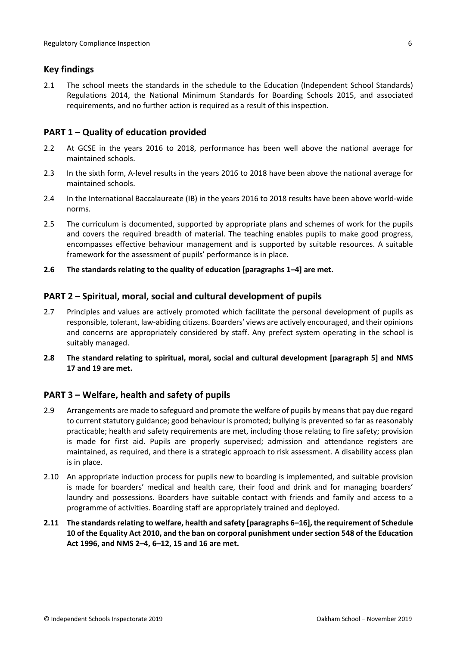#### <span id="page-5-0"></span>**Key findings**

2.1 The school meets the standards in the schedule to the Education (Independent School Standards) Regulations 2014, the National Minimum Standards for Boarding Schools 2015, and associated requirements, and no further action is required as a result of this inspection.

#### <span id="page-5-1"></span>**PART 1 – Quality of education provided**

- 2.2 At GCSE in the years 2016 to 2018, performance has been well above the national average for maintained schools.
- 2.3 In the sixth form, A-level results in the years 2016 to 2018 have been above the national average for maintained schools.
- 2.4 In the International Baccalaureate (IB) in the years 2016 to 2018 results have been above world-wide norms.
- 2.5 The curriculum is documented, supported by appropriate plans and schemes of work for the pupils and covers the required breadth of material. The teaching enables pupils to make good progress, encompasses effective behaviour management and is supported by suitable resources. A suitable framework for the assessment of pupils' performance is in place.
- **2.6 The standards relating to the quality of education [paragraphs 1–4] are met.**

#### <span id="page-5-2"></span>**PART 2 – Spiritual, moral, social and cultural development of pupils**

- 2.7 Principles and values are actively promoted which facilitate the personal development of pupils as responsible, tolerant, law-abiding citizens. Boarders' views are actively encouraged, and their opinions and concerns are appropriately considered by staff. Any prefect system operating in the school is suitably managed.
- **2.8 The standard relating to spiritual, moral, social and cultural development [paragraph 5] and NMS 17 and 19 are met.**

## <span id="page-5-3"></span>**PART 3 – Welfare, health and safety of pupils**

- 2.9 Arrangements are made to safeguard and promote the welfare of pupils by meansthat pay due regard to current statutory guidance; good behaviour is promoted; bullying is prevented so far as reasonably practicable; health and safety requirements are met, including those relating to fire safety; provision is made for first aid. Pupils are properly supervised; admission and attendance registers are maintained, as required, and there is a strategic approach to risk assessment. A disability access plan is in place.
- 2.10 An appropriate induction process for pupils new to boarding is implemented, and suitable provision is made for boarders' medical and health care, their food and drink and for managing boarders' laundry and possessions. Boarders have suitable contact with friends and family and access to a programme of activities. Boarding staff are appropriately trained and deployed.
- **2.11 The standardsrelating to welfare, health and safety [paragraphs 6–16], the requirement of Schedule 10 of the Equality Act 2010, and the ban on corporal punishment undersection 548 of the Education Act 1996, and NMS 2–4, 6–12, 15 and 16 are met.**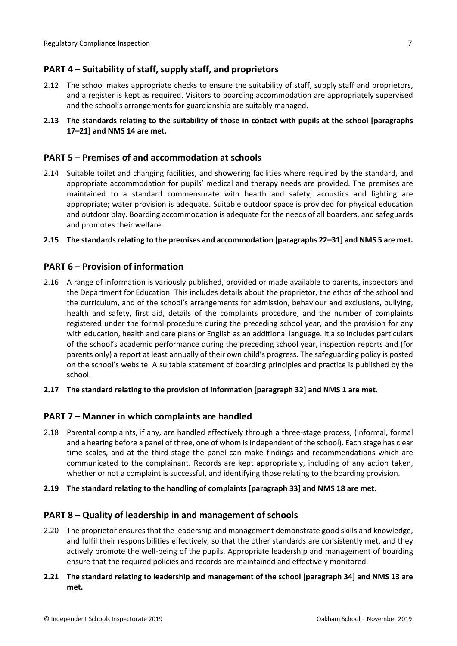# <span id="page-6-0"></span>**PART 4 – Suitability of staff, supply staff, and proprietors**

- 2.12 The school makes appropriate checks to ensure the suitability of staff, supply staff and proprietors, and a register is kept as required. Visitors to boarding accommodation are appropriately supervised and the school's arrangements for guardianship are suitably managed.
- **2.13 The standards relating to the suitability of those in contact with pupils at the school [paragraphs 17–21] and NMS 14 are met.**

#### <span id="page-6-1"></span>**PART 5 – Premises of and accommodation at schools**

2.14 Suitable toilet and changing facilities, and showering facilities where required by the standard, and appropriate accommodation for pupils' medical and therapy needs are provided. The premises are maintained to a standard commensurate with health and safety; acoustics and lighting are appropriate; water provision is adequate. Suitable outdoor space is provided for physical education and outdoor play. Boarding accommodation is adequate for the needs of all boarders, and safeguards and promotes their welfare.

#### **2.15 The standardsrelating to the premises and accommodation [paragraphs 22–31] and NMS 5 are met.**

#### <span id="page-6-2"></span>**PART 6 – Provision of information**

- 2.16 A range of information is variously published, provided or made available to parents, inspectors and the Department for Education. This includes details about the proprietor, the ethos of the school and the curriculum, and of the school's arrangements for admission, behaviour and exclusions, bullying, health and safety, first aid, details of the complaints procedure, and the number of complaints registered under the formal procedure during the preceding school year, and the provision for any with education, health and care plans or English as an additional language. It also includes particulars of the school's academic performance during the preceding school year, inspection reports and (for parents only) a report at least annually of their own child's progress. The safeguarding policy is posted on the school's website. A suitable statement of boarding principles and practice is published by the school.
- **2.17 The standard relating to the provision of information [paragraph 32] and NMS 1 are met.**

#### <span id="page-6-3"></span>**PART 7 – Manner in which complaints are handled**

- 2.18 Parental complaints, if any, are handled effectively through a three-stage process, (informal, formal and a hearing before a panel of three, one of whom is independent of the school). Each stage has clear time scales, and at the third stage the panel can make findings and recommendations which are communicated to the complainant. Records are kept appropriately, including of any action taken, whether or not a complaint is successful, and identifying those relating to the boarding provision.
- **2.19 The standard relating to the handling of complaints [paragraph 33] and NMS 18 are met.**

#### <span id="page-6-4"></span>**PART 8 – Quality of leadership in and management of schools**

- 2.20 The proprietor ensures that the leadership and management demonstrate good skills and knowledge, and fulfil their responsibilities effectively, so that the other standards are consistently met, and they actively promote the well-being of the pupils. Appropriate leadership and management of boarding ensure that the required policies and records are maintained and effectively monitored.
- **2.21 The standard relating to leadership and management of the school [paragraph 34] and NMS 13 are met.**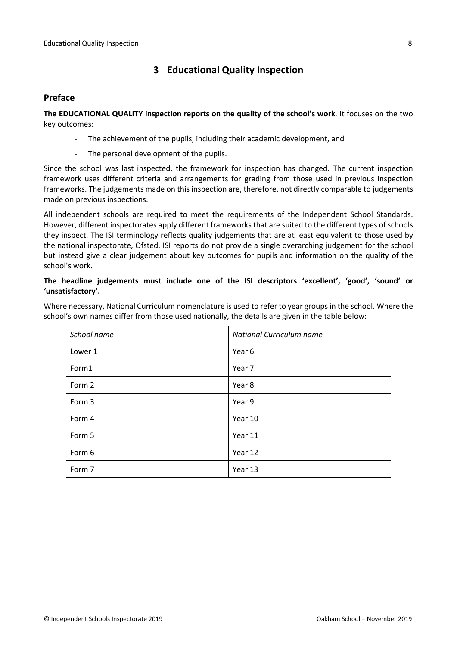# <span id="page-7-0"></span>**3 Educational Quality Inspection**

#### <span id="page-7-1"></span>**Preface**

**The EDUCATIONAL QUALITY inspection reports on the quality of the school's work**. It focuses on the two key outcomes:

- The achievement of the pupils, including their academic development, and
- The personal development of the pupils.

Since the school was last inspected, the framework for inspection has changed. The current inspection framework uses different criteria and arrangements for grading from those used in previous inspection frameworks. The judgements made on this inspection are, therefore, not directly comparable to judgements made on previous inspections.

All independent schools are required to meet the requirements of the Independent School Standards. However, different inspectorates apply different frameworks that are suited to the different types of schools they inspect. The ISI terminology reflects quality judgements that are at least equivalent to those used by the national inspectorate, Ofsted. ISI reports do not provide a single overarching judgement for the school but instead give a clear judgement about key outcomes for pupils and information on the quality of the school's work.

#### **The headline judgements must include one of the ISI descriptors 'excellent', 'good', 'sound' or 'unsatisfactory'.**

Where necessary, National Curriculum nomenclature is used to refer to year groups in the school. Where the school's own names differ from those used nationally, the details are given in the table below:

| School name | National Curriculum name |  |
|-------------|--------------------------|--|
| Lower 1     | Year 6                   |  |
| Form1       | Year 7                   |  |
| Form 2      | Year 8                   |  |
| Form 3      | Year 9                   |  |
| Form 4      | Year 10                  |  |
| Form 5      | Year 11                  |  |
| Form 6      | Year 12                  |  |
| Form 7      | Year 13                  |  |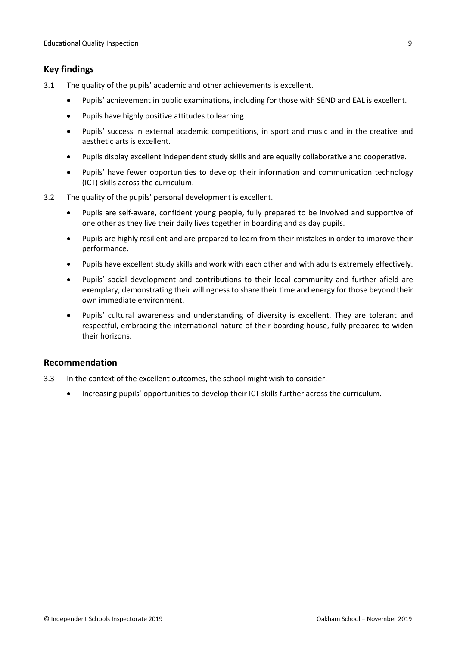#### <span id="page-8-0"></span>**Key findings**

- 3.1 The quality of the pupils' academic and other achievements is excellent.
	- Pupils' achievement in public examinations, including for those with SEND and EAL is excellent.
	- Pupils have highly positive attitudes to learning.
	- Pupils' success in external academic competitions, in sport and music and in the creative and aesthetic arts is excellent.
	- Pupils display excellent independent study skills and are equally collaborative and cooperative.
	- Pupils' have fewer opportunities to develop their information and communication technology (ICT) skills across the curriculum.
- 3.2 The quality of the pupils' personal development is excellent.
	- Pupils are self-aware, confident young people, fully prepared to be involved and supportive of one other as they live their daily lives together in boarding and as day pupils.
	- Pupils are highly resilient and are prepared to learn from their mistakes in order to improve their performance.
	- Pupils have excellent study skills and work with each other and with adults extremely effectively.
	- Pupils' social development and contributions to their local community and further afield are exemplary, demonstrating their willingness to share their time and energy for those beyond their own immediate environment.
	- Pupils' cultural awareness and understanding of diversity is excellent. They are tolerant and respectful, embracing the international nature of their boarding house, fully prepared to widen their horizons.

#### <span id="page-8-1"></span>**Recommendation**

- 3.3 In the context of the excellent outcomes, the school might wish to consider:
	- Increasing pupils' opportunities to develop their ICT skills further across the curriculum.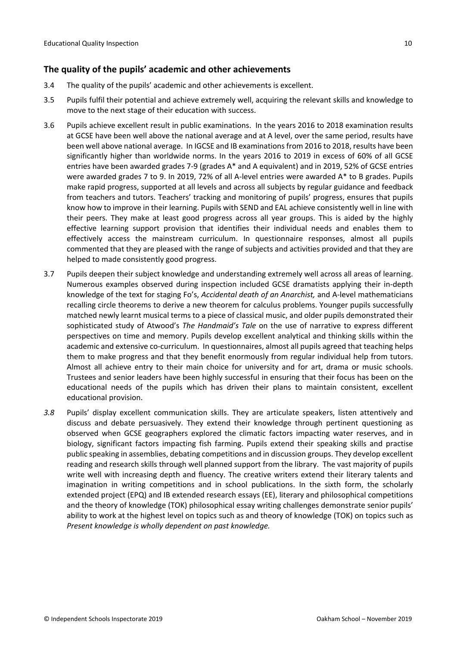#### <span id="page-9-0"></span>**The quality of the pupils' academic and other achievements**

- 3.4 The quality of the pupils' academic and other achievements is excellent.
- 3.5 Pupils fulfil their potential and achieve extremely well, acquiring the relevant skills and knowledge to move to the next stage of their education with success.
- 3.6 Pupils achieve excellent result in public examinations. In the years 2016 to 2018 examination results at GCSE have been well above the national average and at A level, over the same period, results have been well above national average. In IGCSE and IB examinations from 2016 to 2018, results have been significantly higher than worldwide norms. In the years 2016 to 2019 in excess of 60% of all GCSE entries have been awarded grades 7-9 (grades A\* and A equivalent) and in 2019, 52% of GCSE entries were awarded grades 7 to 9. In 2019, 72% of all A-level entries were awarded A\* to B grades. Pupils make rapid progress, supported at all levels and across all subjects by regular guidance and feedback from teachers and tutors. Teachers' tracking and monitoring of pupils' progress, ensures that pupils know how to improve in their learning. Pupils with SEND and EAL achieve consistently well in line with their peers. They make at least good progress across all year groups. This is aided by the highly effective learning support provision that identifies their individual needs and enables them to effectively access the mainstream curriculum. In questionnaire responses, almost all pupils commented that they are pleased with the range of subjects and activities provided and that they are helped to made consistently good progress.
- 3.7 Pupils deepen their subject knowledge and understanding extremely well across all areas of learning. Numerous examples observed during inspection included GCSE dramatists applying their in-depth knowledge of the text for staging Fo's, *Accidental death of an Anarchist,* and A-level mathematicians recalling circle theorems to derive a new theorem for calculus problems. Younger pupils successfully matched newly learnt musical terms to a piece of classical music, and older pupils demonstrated their sophisticated study of Atwood's *The Handmaid's Tale* on the use of narrative to express different perspectives on time and memory. Pupils develop excellent analytical and thinking skills within the academic and extensive co-curriculum. In questionnaires, almost all pupils agreed that teaching helps them to make progress and that they benefit enormously from regular individual help from tutors. Almost all achieve entry to their main choice for university and for art, drama or music schools. Trustees and senior leaders have been highly successful in ensuring that their focus has been on the educational needs of the pupils which has driven their plans to maintain consistent, excellent educational provision.
- *3.8* Pupils' display excellent communication skills. They are articulate speakers, listen attentively and discuss and debate persuasively. They extend their knowledge through pertinent questioning as observed when GCSE geographers explored the climatic factors impacting water reserves, and in biology, significant factors impacting fish farming. Pupils extend their speaking skills and practise public speaking in assemblies, debating competitions and in discussion groups. They develop excellent reading and research skills through well planned support from the library. The vast majority of pupils write well with increasing depth and fluency. The creative writers extend their literary talents and imagination in writing competitions and in school publications. In the sixth form, the scholarly extended project (EPQ) and IB extended research essays (EE), literary and philosophical competitions and the theory of knowledge (TOK) philosophical essay writing challenges demonstrate senior pupils' ability to work at the highest level on topics such as and theory of knowledge (TOK) on topics such as *Present knowledge is wholly dependent on past knowledge.*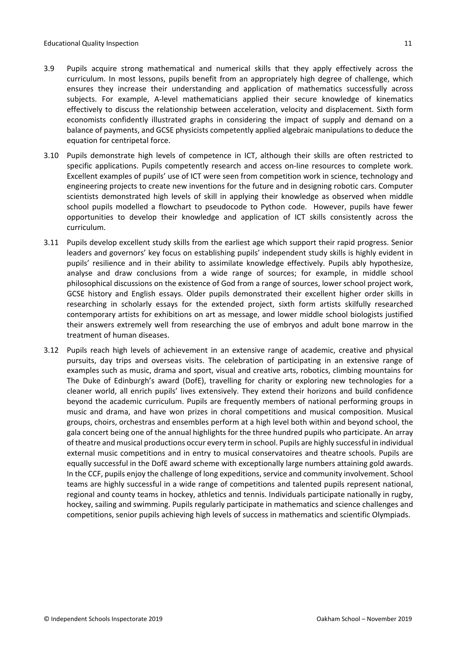- 3.9 Pupils acquire strong mathematical and numerical skills that they apply effectively across the curriculum. In most lessons, pupils benefit from an appropriately high degree of challenge, which ensures they increase their understanding and application of mathematics successfully across subjects. For example, A-level mathematicians applied their secure knowledge of kinematics effectively to discuss the relationship between acceleration, velocity and displacement. Sixth form economists confidently illustrated graphs in considering the impact of supply and demand on a balance of payments, and GCSE physicists competently applied algebraic manipulations to deduce the equation for centripetal force.
- 3.10 Pupils demonstrate high levels of competence in ICT, although their skills are often restricted to specific applications. Pupils competently research and access on-line resources to complete work. Excellent examples of pupils' use of ICT were seen from competition work in science, technology and engineering projects to create new inventions for the future and in designing robotic cars. Computer scientists demonstrated high levels of skill in applying their knowledge as observed when middle school pupils modelled a flowchart to pseudocode to Python code. However, pupils have fewer opportunities to develop their knowledge and application of ICT skills consistently across the curriculum.
- 3.11 Pupils develop excellent study skills from the earliest age which support their rapid progress. Senior leaders and governors' key focus on establishing pupils' independent study skills is highly evident in pupils' resilience and in their ability to assimilate knowledge effectively. Pupils ably hypothesize, analyse and draw conclusions from a wide range of sources; for example, in middle school philosophical discussions on the existence of God from a range of sources, lower school project work, GCSE history and English essays. Older pupils demonstrated their excellent higher order skills in researching in scholarly essays for the extended project, sixth form artists skilfully researched contemporary artists for exhibitions on art as message, and lower middle school biologists justified their answers extremely well from researching the use of embryos and adult bone marrow in the treatment of human diseases.
- 3.12 Pupils reach high levels of achievement in an extensive range of academic, creative and physical pursuits, day trips and overseas visits. The celebration of participating in an extensive range of examples such as music, drama and sport, visual and creative arts, robotics, climbing mountains for The Duke of Edinburgh's award (DofE), travelling for charity or exploring new technologies for a cleaner world, all enrich pupils' lives extensively. They extend their horizons and build confidence beyond the academic curriculum. Pupils are frequently members of national performing groups in music and drama, and have won prizes in choral competitions and musical composition. Musical groups, choirs, orchestras and ensembles perform at a high level both within and beyond school, the gala concert being one of the annual highlights for the three hundred pupils who participate. An array of theatre and musical productions occur every term in school. Pupils are highly successful in individual external music competitions and in entry to musical conservatoires and theatre schools. Pupils are equally successful in the DofE award scheme with exceptionally large numbers attaining gold awards. In the CCF, pupils enjoy the challenge of long expeditions, service and community involvement. School teams are highly successful in a wide range of competitions and talented pupils represent national, regional and county teams in hockey, athletics and tennis. Individuals participate nationally in rugby, hockey, sailing and swimming. Pupils regularly participate in mathematics and science challenges and competitions, senior pupils achieving high levels of success in mathematics and scientific Olympiads.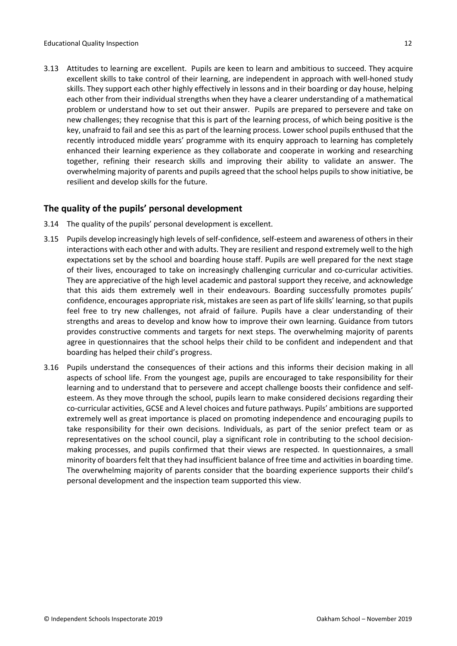3.13 Attitudes to learning are excellent. Pupils are keen to learn and ambitious to succeed. They acquire excellent skills to take control of their learning, are independent in approach with well-honed study skills. They support each other highly effectively in lessons and in their boarding or day house, helping each other from their individual strengths when they have a clearer understanding of a mathematical problem or understand how to set out their answer. Pupils are prepared to persevere and take on new challenges; they recognise that this is part of the learning process, of which being positive is the key, unafraid to fail and see this as part of the learning process. Lower school pupils enthused that the recently introduced middle years' programme with its enquiry approach to learning has completely enhanced their learning experience as they collaborate and cooperate in working and researching together, refining their research skills and improving their ability to validate an answer. The overwhelming majority of parents and pupils agreed that the school helps pupils to show initiative, be resilient and develop skills for the future.

# <span id="page-11-0"></span>**The quality of the pupils' personal development**

- 3.14 The quality of the pupils' personal development is excellent.
- 3.15 Pupils develop increasingly high levels of self-confidence, self-esteem and awareness of others in their interactions with each other and with adults. They are resilient and respond extremely well to the high expectations set by the school and boarding house staff. Pupils are well prepared for the next stage of their lives, encouraged to take on increasingly challenging curricular and co-curricular activities. They are appreciative of the high level academic and pastoral support they receive, and acknowledge that this aids them extremely well in their endeavours. Boarding successfully promotes pupils' confidence, encourages appropriate risk, mistakes are seen as part of life skills' learning, so that pupils feel free to try new challenges, not afraid of failure. Pupils have a clear understanding of their strengths and areas to develop and know how to improve their own learning. Guidance from tutors provides constructive comments and targets for next steps. The overwhelming majority of parents agree in questionnaires that the school helps their child to be confident and independent and that boarding has helped their child's progress.
- 3.16 Pupils understand the consequences of their actions and this informs their decision making in all aspects of school life. From the youngest age, pupils are encouraged to take responsibility for their learning and to understand that to persevere and accept challenge boosts their confidence and selfesteem. As they move through the school, pupils learn to make considered decisions regarding their co-curricular activities, GCSE and A level choices and future pathways. Pupils' ambitions are supported extremely well as great importance is placed on promoting independence and encouraging pupils to take responsibility for their own decisions. Individuals, as part of the senior prefect team or as representatives on the school council, play a significant role in contributing to the school decisionmaking processes, and pupils confirmed that their views are respected. In questionnaires, a small minority of boarders felt that they had insufficient balance of free time and activities in boarding time. The overwhelming majority of parents consider that the boarding experience supports their child's personal development and the inspection team supported this view.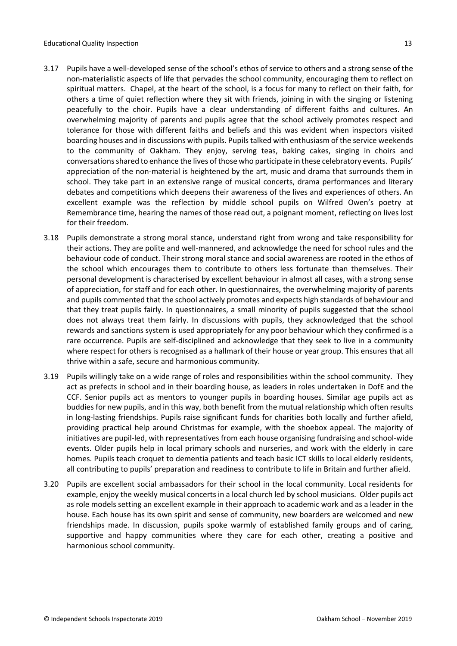- 3.17 Pupils have a well-developed sense of the school's ethos of service to others and a strong sense of the non-materialistic aspects of life that pervades the school community, encouraging them to reflect on spiritual matters. Chapel, at the heart of the school, is a focus for many to reflect on their faith, for others a time of quiet reflection where they sit with friends, joining in with the singing or listening peacefully to the choir. Pupils have a clear understanding of different faiths and cultures. An overwhelming majority of parents and pupils agree that the school actively promotes respect and tolerance for those with different faiths and beliefs and this was evident when inspectors visited boarding houses and in discussions with pupils. Pupilstalked with enthusiasm of the service weekends to the community of Oakham. They enjoy, serving teas, baking cakes, singing in choirs and conversations shared to enhance the lives of those who participate in these celebratory events. Pupils' appreciation of the non-material is heightened by the art, music and drama that surrounds them in school. They take part in an extensive range of musical concerts, drama performances and literary debates and competitions which deepens their awareness of the lives and experiences of others. An excellent example was the reflection by middle school pupils on Wilfred Owen's poetry at Remembrance time, hearing the names of those read out, a poignant moment, reflecting on lives lost for their freedom.
- 3.18 Pupils demonstrate a strong moral stance, understand right from wrong and take responsibility for their actions. They are polite and well-mannered, and acknowledge the need for school rules and the behaviour code of conduct. Their strong moral stance and social awareness are rooted in the ethos of the school which encourages them to contribute to others less fortunate than themselves. Their personal development is characterised by excellent behaviour in almost all cases, with a strong sense of appreciation, for staff and for each other. In questionnaires, the overwhelming majority of parents and pupils commented that the school actively promotes and expects high standards of behaviour and that they treat pupils fairly. In questionnaires, a small minority of pupils suggested that the school does not always treat them fairly. In discussions with pupils, they acknowledged that the school rewards and sanctions system is used appropriately for any poor behaviour which they confirmed is a rare occurrence. Pupils are self-disciplined and acknowledge that they seek to live in a community where respect for others is recognised as a hallmark of their house or year group. This ensures that all thrive within a safe, secure and harmonious community.
- 3.19 Pupils willingly take on a wide range of roles and responsibilities within the school community. They act as prefects in school and in their boarding house, as leaders in roles undertaken in DofE and the CCF. Senior pupils act as mentors to younger pupils in boarding houses. Similar age pupils act as buddies for new pupils, and in this way, both benefit from the mutual relationship which often results in long-lasting friendships. Pupils raise significant funds for charities both locally and further afield, providing practical help around Christmas for example, with the shoebox appeal. The majority of initiatives are pupil-led, with representatives from each house organising fundraising and school-wide events. Older pupils help in local primary schools and nurseries, and work with the elderly in care homes. Pupils teach croquet to dementia patients and teach basic ICT skills to local elderly residents, all contributing to pupils' preparation and readiness to contribute to life in Britain and further afield.
- 3.20 Pupils are excellent social ambassadors for their school in the local community. Local residents for example, enjoy the weekly musical concerts in a local church led by school musicians. Older pupils act as role models setting an excellent example in their approach to academic work and as a leader in the house. Each house has its own spirit and sense of community, new boarders are welcomed and new friendships made. In discussion, pupils spoke warmly of established family groups and of caring, supportive and happy communities where they care for each other, creating a positive and harmonious school community.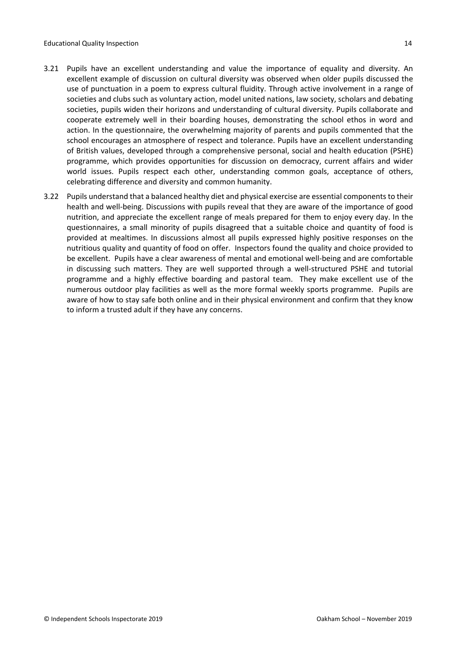- 3.21 Pupils have an excellent understanding and value the importance of equality and diversity. An excellent example of discussion on cultural diversity was observed when older pupils discussed the use of punctuation in a poem to express cultural fluidity. Through active involvement in a range of societies and clubs such as voluntary action, model united nations, law society, scholars and debating societies, pupils widen their horizons and understanding of cultural diversity. Pupils collaborate and cooperate extremely well in their boarding houses, demonstrating the school ethos in word and action. In the questionnaire, the overwhelming majority of parents and pupils commented that the school encourages an atmosphere of respect and tolerance. Pupils have an excellent understanding of British values, developed through a comprehensive personal, social and health education (PSHE) programme, which provides opportunities for discussion on democracy, current affairs and wider world issues. Pupils respect each other, understanding common goals, acceptance of others, celebrating difference and diversity and common humanity.
- 3.22 Pupils understand that a balanced healthy diet and physical exercise are essential components to their health and well-being. Discussions with pupils reveal that they are aware of the importance of good nutrition, and appreciate the excellent range of meals prepared for them to enjoy every day. In the questionnaires, a small minority of pupils disagreed that a suitable choice and quantity of food is provided at mealtimes. In discussions almost all pupils expressed highly positive responses on the nutritious quality and quantity of food on offer. Inspectors found the quality and choice provided to be excellent. Pupils have a clear awareness of mental and emotional well-being and are comfortable in discussing such matters. They are well supported through a well-structured PSHE and tutorial programme and a highly effective boarding and pastoral team. They make excellent use of the numerous outdoor play facilities as well as the more formal weekly sports programme. Pupils are aware of how to stay safe both online and in their physical environment and confirm that they know to inform a trusted adult if they have any concerns.